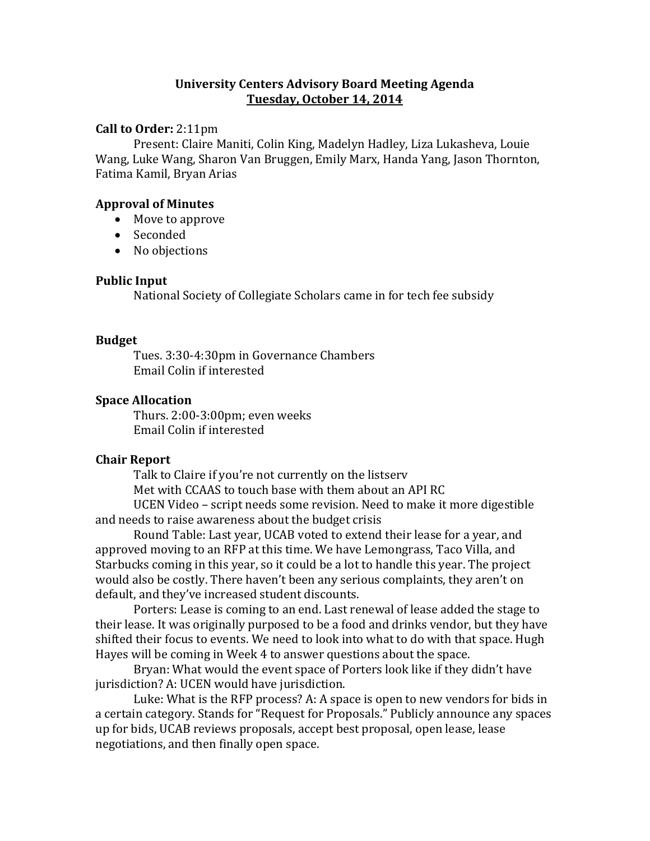### **University Centers Advisory Board Meeting Agenda Tuesday, October 14, 2014**

### **Call to Order:** 2:11pm

Present: Claire Maniti, Colin King, Madelyn Hadley, Liza Lukasheva, Louie Wang, Luke Wang, Sharon Van Bruggen, Emily Marx, Handa Yang, Jason Thornton, Fatima Kamil, Bryan Arias

### **Approval of Minutes**

- Move to approve
- Seconded
- No objections

### **Public Input**

National Society of Collegiate Scholars came in for tech fee subsidy

### **Budget**

Tues. 3:30-4:30pm in Governance Chambers Email Colin if interested

# **Space Allocation**

Thurs. 2:00-3:00pm; even weeks Email Colin if interested

# **Chair Report**

Talk to Claire if you're not currently on the listserv Met with CCAAS to touch base with them about an API RC UCEN Video – script needs some revision. Need to make it more digestible and needs to raise awareness about the budget crisis

Round Table: Last year, UCAB voted to extend their lease for a year, and approved moving to an RFP at this time. We have Lemongrass, Taco Villa, and Starbucks coming in this year, so it could be a lot to handle this year. The project would also be costly. There haven't been any serious complaints, they aren't on default, and they've increased student discounts.

Porters: Lease is coming to an end. Last renewal of lease added the stage to their lease. It was originally purposed to be a food and drinks vendor, but they have shifted their focus to events. We need to look into what to do with that space. Hugh Hayes will be coming in Week 4 to answer questions about the space.

Bryan: What would the event space of Porters look like if they didn't have jurisdiction? A: UCEN would have jurisdiction.

Luke: What is the RFP process? A: A space is open to new vendors for bids in a certain category. Stands for "Request for Proposals." Publicly announce any spaces up for bids, UCAB reviews proposals, accept best proposal, open lease, lease negotiations, and then finally open space.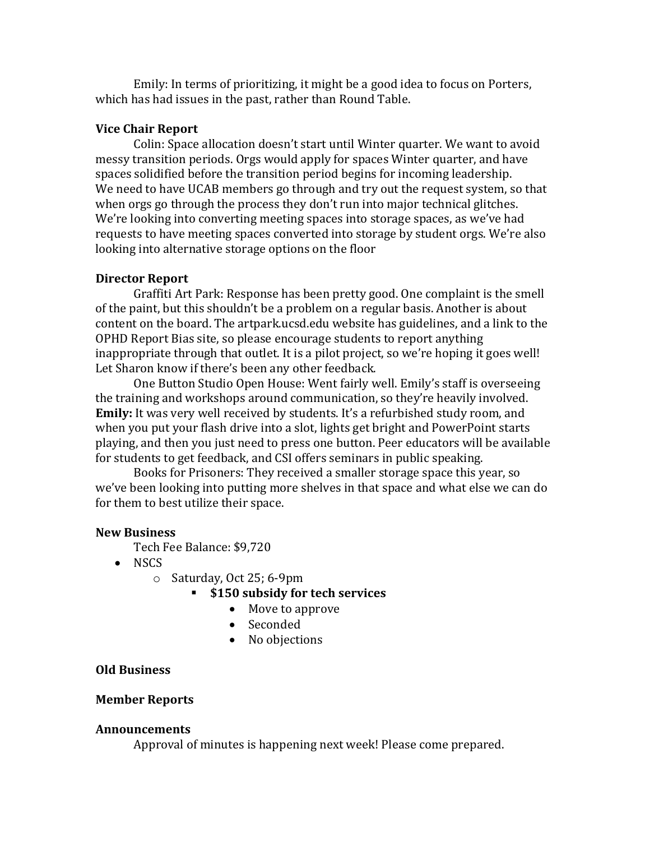Emily: In terms of prioritizing, it might be a good idea to focus on Porters, which has had issues in the past, rather than Round Table.

### **Vice Chair Report**

Colin: Space allocation doesn't start until Winter quarter. We want to avoid messy transition periods. Orgs would apply for spaces Winter quarter, and have spaces solidified before the transition period begins for incoming leadership. We need to have UCAB members go through and try out the request system, so that when orgs go through the process they don't run into major technical glitches. We're looking into converting meeting spaces into storage spaces, as we've had requests to have meeting spaces converted into storage by student orgs. We're also looking into alternative storage options on the floor

#### **Director Report**

Graffiti Art Park: Response has been pretty good. One complaint is the smell of the paint, but this shouldn't be a problem on a regular basis. Another is about content on the board. The artpark.ucsd.edu website has guidelines, and a link to the OPHD Report Bias site, so please encourage students to report anything inappropriate through that outlet. It is a pilot project, so we're hoping it goes well! Let Sharon know if there's been any other feedback.

One Button Studio Open House: Went fairly well. Emily's staff is overseeing the training and workshops around communication, so they're heavily involved. **Emily:** It was very well received by students. It's a refurbished study room, and when you put your flash drive into a slot, lights get bright and PowerPoint starts playing, and then you just need to press one button. Peer educators will be available for students to get feedback, and CSI offers seminars in public speaking.

Books for Prisoners: They received a smaller storage space this year, so we've been looking into putting more shelves in that space and what else we can do for them to best utilize their space.

#### **New Business**

Tech Fee Balance: \$9,720

- NSCS
	- o Saturday, Oct 25; 6-9pm
		- **\$150 subsidy for tech services**
			- Move to approve
			- Seconded
			- No objections

#### **Old Business**

#### **Member Reports**

#### **Announcements**

Approval of minutes is happening next week! Please come prepared.